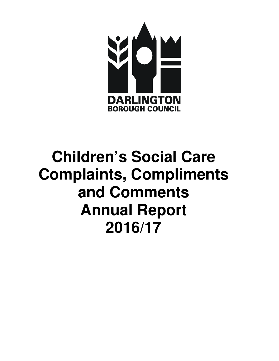

# **Children's Social Care Complaints, Compliments and Comments Annual Report 2016/17**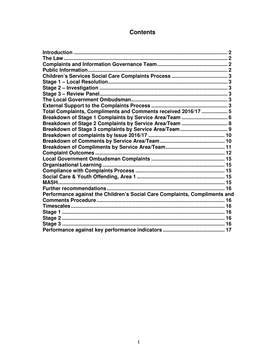# **Contents**

| Total Complaints, Compliments and Comments received 2016/17  5             |  |
|----------------------------------------------------------------------------|--|
| Breakdown of Stage 1 Complaints by Service Area/Team  6                    |  |
| Breakdown of Stage 2 Complaints by Service Area/Team  8                    |  |
|                                                                            |  |
|                                                                            |  |
|                                                                            |  |
|                                                                            |  |
|                                                                            |  |
|                                                                            |  |
|                                                                            |  |
|                                                                            |  |
|                                                                            |  |
|                                                                            |  |
|                                                                            |  |
| Performance against the Children's Social Care Complaints, Compliments and |  |
|                                                                            |  |
|                                                                            |  |
|                                                                            |  |
|                                                                            |  |
|                                                                            |  |
|                                                                            |  |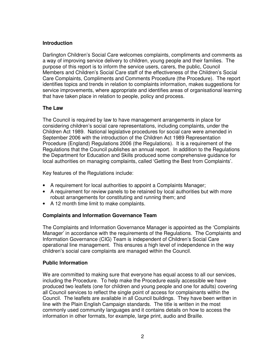# **Introduction**

Darlington Children's Social Care welcomes complaints, compliments and comments as a way of improving service delivery to children, young people and their families. The purpose of this report is to inform the service users, carers, the public, Council Members and Children's Social Care staff of the effectiveness of the Children's Social Care Complaints, Compliments and Comments Procedure (the Procedure). The report identifies topics and trends in relation to complaints information, makes suggestions for service improvements, where appropriate and identifies areas of organisational learning that have taken place in relation to people, policy and process.

# **The Law**

The Council is required by law to have management arrangements in place for considering children's social care representations, including complaints, under the Children Act 1989. National legislative procedures for social care were amended in September 2006 with the introduction of the Children Act 1989 Representation Procedure (England) Regulations 2006 (the Regulations). It is a requirement of the Regulations that the Council publishes an annual report. In addition to the Regulations the Department for Education and Skills produced some comprehensive guidance for local authorities on managing complaints, called 'Getting the Best from Complaints'.

Key features of the Regulations include:

- A requirement for local authorities to appoint a Complaints Manager;
- A requirement for review panels to be retained by local authorities but with more robust arrangements for constituting and running them; and
- A 12 month time limit to make complaints.

# **Complaints and Information Governance Team**

The Complaints and Information Governance Manager is appointed as the 'Complaints Manager' in accordance with the requirements of the Regulations. The Complaints and Information Governance (CIG) Team is independent of Children's Social Care operational line management. This ensures a high level of independence in the way children's social care complaints are managed within the Council.

# **Public Information**

We are committed to making sure that everyone has equal access to all our services, including the Procedure. To help make the Procedure easily accessible we have produced two leaflets (one for children and young people and one for adults) covering all Council services to reflect the single point of access for complainants within the Council. The leaflets are available in all Council buildings. They have been written in line with the Plain English Campaign standards. The title is written in the most commonly used community languages and it contains details on how to access the information in other formats, for example, large print, audio and Braille.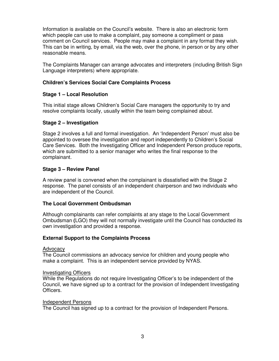Information is available on the Council's website. There is also an electronic form which people can use to make a complaint, pay someone a compliment or pass comment on Council services. People may make a complaint in any format they wish. This can be in writing, by email, via the web, over the phone, in person or by any other reasonable means.

The Complaints Manager can arrange advocates and interpreters (including British Sign Language interpreters) where appropriate.

# **Children's Services Social Care Complaints Process**

# **Stage 1 – Local Resolution**

This initial stage allows Children's Social Care managers the opportunity to try and resolve complaints locally, usually within the team being complained about.

#### **Stage 2 – Investigation**

Stage 2 involves a full and formal investigation. An 'Independent Person' must also be appointed to oversee the investigation and report independently to Children's Social Care Services. Both the Investigating Officer and Independent Person produce reports, which are submitted to a senior manager who writes the final response to the complainant.

# **Stage 3 – Review Panel**

A review panel is convened when the complainant is dissatisfied with the Stage 2 response. The panel consists of an independent chairperson and two individuals who are independent of the Council.

#### **The Local Government Ombudsman**

Although complainants can refer complaints at any stage to the Local Government Ombudsman **(**LGO) they will not normally investigate until the Council has conducted its own investigation and provided a response.

#### **External Support to the Complaints Process**

#### Advocacy

The Council commissions an advocacy service for children and young people who make a complaint. This is an independent service provided by NYAS.

#### Investigating Officers

While the Regulations do not require Investigating Officer's to be independent of the Council, we have signed up to a contract for the provision of Independent Investigating Officers.

#### Independent Persons

The Council has signed up to a contract for the provision of Independent Persons.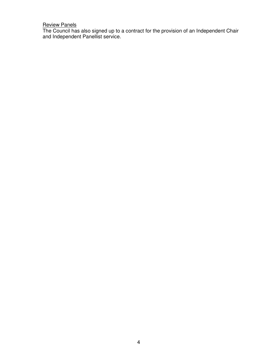#### Review Panels

The Council has also signed up to a contract for the provision of an Independent Chair and Independent Panellist service.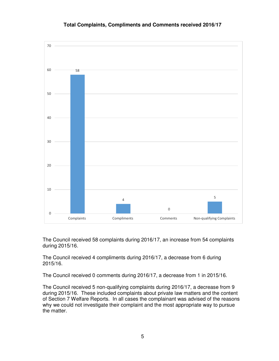

#### **Total Complaints, Compliments and Comments received 2016/17**

The Council received 58 complaints during 2016/17, an increase from 54 complaints during 2015/16.

The Council received 4 compliments during 2016/17, a decrease from 6 during 2015/16.

The Council received 0 comments during 2016/17, a decrease from 1 in 2015/16.

The Council received 5 non-qualifying complaints during 2016/17, a decrease from 9 during 2015/16. These included complaints about private law matters and the content of Section 7 Welfare Reports. In all cases the complainant was advised of the reasons why we could not investigate their complaint and the most appropriate way to pursue the matter.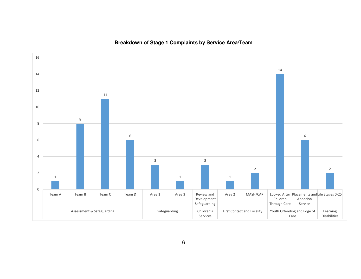

# **Breakdown of Stage 1 Complaints by Service Area/Team**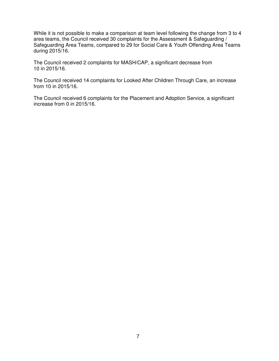While it is not possible to make a comparison at team level following the change from 3 to 4 area teams, the Council received 30 complaints for the Assessment & Safeguarding / Safeguarding Area Teams, compared to 29 for Social Care & Youth Offending Area Teams during 2015/16.

The Council received 2 complaints for MASH/CAP, a significant decrease from 10 in 2015/16.

The Council received 14 complaints for Looked After Children Through Care, an increase from 10 in 2015/16.

The Council received 6 complaints for the Placement and Adoption Service, a significant increase from 0 in 2015/16.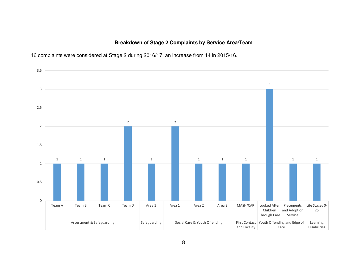# **Breakdown of Stage 2 Complaints by Service Area/Team**



16 complaints were considered at Stage 2 during 2016/17, an increase from 14 in 2015/16.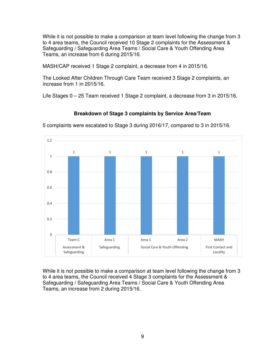While it is not possible to make a comparison at team level following the change from 3 to 4 area teams, the Council received 10 Stage 2 complaints for the Assessment & Safeguarding / Safeguarding Area Teams / Social Care & Youth Offending Area Teams, an increase from 6 during 2015/16.

MASH/CAP received 1 Stage 2 complaint, a decrease from 4 in 2015/16.

The Looked After Children Through Care Team received 3 Stage 2 complaints, an increase from 1 in 2015/16.

Life Stages 0 – 25 Team received 1 Stage 2 complaint, a decrease from 3 in 2015/16.

**Breakdown of Stage 3 complaints by Service Area/Team** 



5 complaints were escalated to Stage 3 during 2016/17, compared to 3 in 2015/16.

While it is not possible to make a comparison at team level following the change from 3 to 4 area teams, the Council received 4 Stage 3 complaints for the Assessment & Safeguarding / Safeguarding Area Teams / Social Care & Youth Offending Area Teams, an increase from 2 during 2015/16.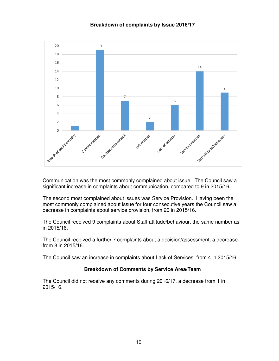



Communication was the most commonly complained about issue. The Council saw a significant increase in complaints about communication, compared to 9 in 2015/16.

The second most complained about issues was Service Provision. Having been the most commonly complained about issue for four consecutive years the Council saw a decrease in complaints about service provision, from 20 in 2015/16.

The Council received 9 complaints about Staff attitude/behaviour, the same number as in 2015/16.

The Council received a further 7 complaints about a decision/assessment, a decrease from 8 in 2015/16.

The Council saw an increase in complaints about Lack of Services, from 4 in 2015/16.

#### **Breakdown of Comments by Service Area/Team**

The Council did not receive any comments during 2016/17, a decrease from 1 in 2015/16.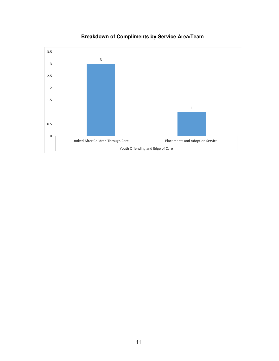

# **Breakdown of Compliments by Service Area/Team**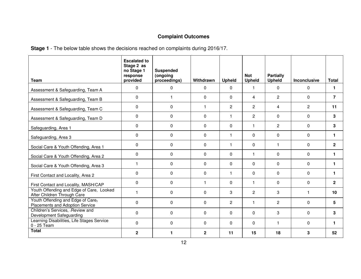# **Complaint Outcomes**

**Stage 1** - The below table shows the decisions reached on complaints during 2016/17.

| <b>Team</b>                                                             | <b>Escalated to</b><br>Stage 2 as<br>no Stage 1<br>response<br>provided | <b>Suspended</b><br>(ongoing<br>proceedings) | Withdrawn    | <b>Upheld</b>           | <b>Not</b><br><b>Upheld</b> | Partially<br><b>Upheld</b> | Inconclusive   | <b>Total</b>   |
|-------------------------------------------------------------------------|-------------------------------------------------------------------------|----------------------------------------------|--------------|-------------------------|-----------------------------|----------------------------|----------------|----------------|
| Assessment & Safeguarding, Team A                                       | $\mathbf{0}$                                                            | 0                                            | 0            | $\mathbf 0$             | $\mathbf{1}$                | 0                          | $\mathsf{O}$   | 1.             |
| Assessment & Safeguarding, Team B                                       | 0                                                                       | 1                                            | $\Omega$     | $\Omega$                | 4                           | $\overline{2}$             | 0              | $\overline{7}$ |
| Assessment & Safeguarding, Team C                                       | 0                                                                       | $\mathbf 0$                                  | 1            | $\overline{2}$          | $\overline{2}$              | 4                          | $\overline{c}$ | 11             |
| Assessment & Safeguarding, Team D                                       | $\Omega$                                                                | $\Omega$                                     | $\Omega$     | 1                       | $\overline{2}$              | 0                          | 0              | 3              |
| Safeguarding, Area 1                                                    | 0                                                                       | $\Omega$                                     | $\Omega$     | $\Omega$                | 1                           | 2                          | $\mathbf{0}$   | 3              |
| Safeguarding, Area 3                                                    | $\Omega$                                                                | $\Omega$                                     | $\Omega$     | $\overline{\mathbf{1}}$ | 0                           | 0                          | 0              | 1              |
| Social Care & Youth Offending, Area 1                                   | $\Omega$                                                                | $\Omega$                                     | $\Omega$     | $\overline{\mathbf{1}}$ | $\Omega$                    | $\mathbf{1}$               | $\Omega$       | $\overline{2}$ |
| Social Care & Youth Offending, Area 2                                   | $\Omega$                                                                | 0                                            | $\Omega$     | $\Omega$                | 1                           | 0                          | 0              | 1.             |
| Social Care & Youth Offending, Area 3                                   | $\mathbf{1}$                                                            | $\Omega$                                     | $\Omega$     | $\Omega$                | $\Omega$                    | $\Omega$                   | 0              | 1.             |
| First Contact and Locality, Area 2                                      | $\Omega$                                                                | 0                                            | $\Omega$     | $\mathbf{1}$            | 0                           | 0                          | 0              | 1.             |
| First Contact and Locality, MASH/CAP                                    | $\Omega$                                                                | $\Omega$                                     | 1            | $\Omega$                | 1                           | $\Omega$                   | 0              | $\mathbf{2}$   |
| Youth Offending and Edge of Care, Looked<br>After Children Through Care | 1                                                                       | $\Omega$                                     | $\Omega$     | 3                       | $\mathbf{2}^{\prime}$       | 3                          | $\mathbf{1}$   | 10             |
| Youth Offending and Edge of Care,<br>Placements and Adoption Service    | $\Omega$                                                                | $\Omega$                                     | $\Omega$     | $\overline{2}$          | $\mathbf{1}$                | 2                          | $\Omega$       | 5              |
| Children's Services, -Review and<br>Development Safeguarding            | $\Omega$                                                                | $\Omega$                                     | $\Omega$     | $\Omega$                | 0                           | 3                          | $\mathbf 0$    | 3              |
| Learning Disabilities, Life Stages Service<br>0 - 25 Team               | $\Omega$                                                                | $\mathbf{0}$                                 | $\Omega$     | $\Omega$                | 0                           | 1                          | 0              | 1              |
| <b>Total</b>                                                            | $\mathbf{2}$                                                            | 1                                            | $\mathbf{2}$ | 11                      | 15                          | 18                         | 3              | 52             |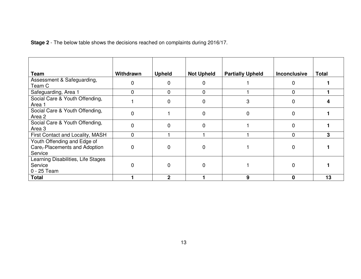**Stage 2** - The below table shows the decisions reached on complaints during 2016/17.

| Team                                                                   | Withdrawn      | <b>Upheld</b> | <b>Not Upheld</b> | <b>Partially Upheld</b> | <b>Inconclusive</b> | <b>Total</b> |
|------------------------------------------------------------------------|----------------|---------------|-------------------|-------------------------|---------------------|--------------|
| Assessment & Safeguarding,<br>Team C                                   | $\mathbf 0$    |               | 0                 |                         | 0                   |              |
| Safeguarding, Area 1                                                   | $\mathbf 0$    | $\Omega$      | $\mathbf 0$       |                         | $\Omega$            |              |
| Social Care & Youth Offending,<br>Area 1                               |                |               | $\Omega$          | 3                       | $\Omega$            |              |
| Social Care & Youth Offending,<br>Area 2                               | $\overline{0}$ |               | $\Omega$          | 0                       | $\Omega$            |              |
| Social Care & Youth Offending,<br>Area 3                               | 0              | 0             | 0                 |                         | 0                   |              |
| First Contact and Locality, MASH                                       | $\mathbf 0$    |               |                   |                         | $\Omega$            | 3            |
| Youth Offending and Edge of<br>Care-Placements and Adoption<br>Service | $\mathbf 0$    |               | $\Omega$          |                         | $\Omega$            |              |
| Learning Disabilities, Life Stages<br>Service<br>0 - 25 Team           | $\mathbf 0$    | 0             | $\Omega$          |                         | $\Omega$            |              |
| <b>Total</b>                                                           |                | ∩             |                   | 9                       | 0                   | 13           |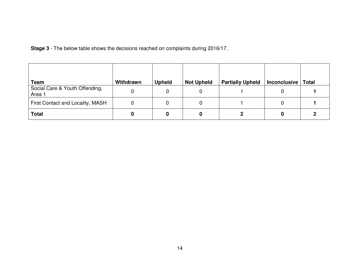**Stage 3** - The below table shows the decisions reached on complaints during 2016/17.

| Team                                     | Withdrawn | <b>Upheld</b> | <b>Not Upheld</b> | <b>Partially Upheld</b> | <b>Inconclusive</b> | <b>Total</b> |
|------------------------------------------|-----------|---------------|-------------------|-------------------------|---------------------|--------------|
| Social Care & Youth Offending,<br>Area 1 |           | 0             |                   |                         |                     |              |
| First Contact and Locality, MASH         |           | O             |                   |                         |                     |              |
| <b>Total</b>                             |           |               |                   |                         |                     |              |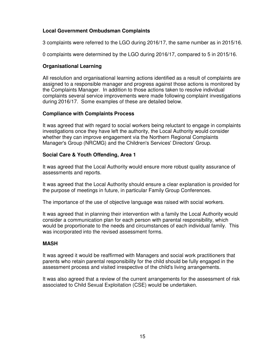# **Local Government Ombudsman Complaints**

3 complaints were referred to the LGO during 2016/17, the same number as in 2015/16.

0 complaints were determined by the LGO during 2016/17, compared to 5 in 2015/16.

# **Organisational Learning**

All resolution and organisational learning actions identified as a result of complaints are assigned to a responsible manager and progress against those actions is monitored by the Complaints Manager. In addition to those actions taken to resolve individual complaints several service improvements were made following complaint investigations during 2016/17. Some examples of these are detailed below.

#### **Compliance with Complaints Process**

It was agreed that with regard to social workers being reluctant to engage in complaints investigations once they have left the authority, the Local Authority would consider whether they can improve engagement via the Northern Regional Complaints Manager's Group (NRCMG) and the Children's Services' Directors' Group.

# **Social Care & Youth Offending, Area 1**

It was agreed that the Local Authority would ensure more robust quality assurance of assessments and reports.

It was agreed that the Local Authority should ensure a clear explanation is provided for the purpose of meetings in future, in particular Family Group Conferences.

The importance of the use of objective language was raised with social workers.

It was agreed that in planning their intervention with a family the Local Authority would consider a communication plan for each person with parental responsibility, which would be proportionate to the needs and circumstances of each individual family. This was incorporated into the revised assessment forms.

#### **MASH**

It was agreed it would be reaffirmed with Managers and social work practitioners that parents who retain parental responsibility for the child should be fully engaged in the assessment process and visited irrespective of the child's living arrangements.

It was also agreed that a review of the current arrangements for the assessment of risk associated to Child Sexual Exploitation (CSE) would be undertaken.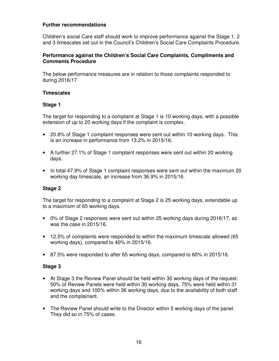# **Further recommendations**

Children's social Care staff should work to improve performance against the Stage 1, 2 and 3 timescales set out in the Council's Children's Social Care Complaints Procedure.

# **Performance against the Children's Social Care Complaints, Compliments and Comments Procedure**

The below performance measures are in relation to those complaints responded to during 2016/17.

# **Timescales**

# **Stage 1**

The target for responding to a complaint at Stage 1 is 10 working days, with a possible extension of up to 20 working days if the complaint is complex.

- 20.8% of Stage 1 complaint responses were sent out within 10 working days. This is an increase in performance from 13.2% in 2015/16.
- A further 27.1% of Stage 1 complaint responses were sent out within 20 working days.
- In total 47.9% of Stage 1 complaint responses were sent out within the maximum 20 working day timescale, an increase from 36.9% in 2015/16.

# **Stage 2**

The target for responding to a complaint at Stage 2 is 25 working days, extendable up to a maximum of 65 working days.

- 0% of Stage 2 responses were sent out within 25 working days during 2016/17, as was the case in 2015/16.
- 12.5% of complaints were responded to within the maximum timescale allowed (65 working days), compared to 40% in 2015/16.
- 87.5% were responded to after 65 working days, compared to 60% in 2015/16.

# **Stage 3**

- At Stage 3 the Review Panel should be held within 30 working days of the request. 50% of Review Panels were held within 30 working days, 75% were held within 31 working days and 100% within 36 working days, due to the availability of both staff and the complainant.
- The Review Panel should write to the Director within 5 working days of the panel. They did so in 75% of cases.